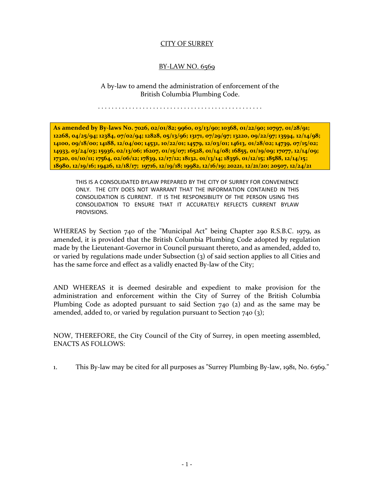## CITY OF SURREY

## BY-LAW NO. 6569

A by-law to amend the administration of enforcement of the British Columbia Plumbing Code.

. . . . . . . . . . . . . . . . . . . . . . . . . . . . . . . . . . . . . . . . . . . . . . . .

**As amended by By-laws No. 7026, 02/01/82; 9960, 03/13/90; 10368, 01/22/90; 10797, 01/28/91; 12268, 04/25/94; 12384, 07/02/94; 12828, 05/13/96; 13171, 07/29/97; 13220, 09/22/97; 13594, 12/14/98; 14100, 09/18/00; 14188, 12/04/00; 14531, 10/22/01; 14579, 12/03/01; 14613, 01/28/02; 14739, 07/15/02; 14933, 03/24/03; 15936, 02/13/06; 16207, 01/15/07; 16528, 01/14/08; 16855, 01/19/09; 17077, 12/14/09; 17320, 01/10/11; 17564, 02/06/12; 17839, 12/17/12; 18132, 01/13/14; 18356, 01/12/15; 18588, 12/14/15; 18980, 12/19/16; 19426, 12/18/17; 19716, 12/19/18; 19982, 12/16/19; 20221, 12/21/20; 20507, 12/24/21**

THIS IS A CONSOLIDATED BYLAW PREPARED BY THE CITY OF SURREY FOR CONVENIENCE ONLY. THE CITY DOES NOT WARRANT THAT THE INFORMATION CONTAINED IN THIS CONSOLIDATION IS CURRENT. IT IS THE RESPONSIBILITY OF THE PERSON USING THIS CONSOLIDATION TO ENSURE THAT IT ACCURATELY REFLECTS CURRENT BYLAW PROVISIONS.

WHEREAS by Section 740 of the "Municipal Act" being Chapter 290 R.S.B.C. 1979, as amended, it is provided that the British Columbia Plumbing Code adopted by regulation made by the Lieutenant-Governor in Council pursuant thereto, and as amended, added to, or varied by regulations made under Subsection (3) of said section applies to all Cities and has the same force and effect as a validly enacted By-law of the City;

AND WHEREAS it is deemed desirable and expedient to make provision for the administration and enforcement within the City of Surrey of the British Columbia Plumbing Code as adopted pursuant to said Section 740 (2) and as the same may be amended, added to, or varied by regulation pursuant to Section 740 (3);

NOW, THEREFORE, the City Council of the City of Surrey, in open meeting assembled, ENACTS AS FOLLOWS:

1. This By-law may be cited for all purposes as "Surrey Plumbing By-law, 1981, No. 6569."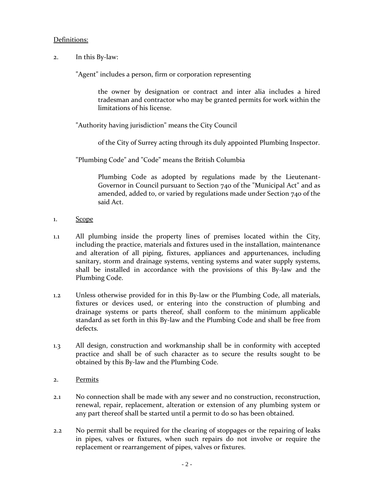### Definitions:

2. In this By-law:

"Agent" includes a person, firm or corporation representing

the owner by designation or contract and inter alia includes a hired tradesman and contractor who may be granted permits for work within the limitations of his license.

"Authority having jurisdiction" means the City Council

of the City of Surrey acting through its duly appointed Plumbing Inspector.

"Plumbing Code" and "Code" means the British Columbia

Plumbing Code as adopted by regulations made by the Lieutenant-Governor in Council pursuant to Section 740 of the "Municipal Act" and as amended, added to, or varied by regulations made under Section 740 of the said Act.

- 1. Scope
- 1.1 All plumbing inside the property lines of premises located within the City, including the practice, materials and fixtures used in the installation, maintenance and alteration of all piping, fixtures, appliances and appurtenances, including sanitary, storm and drainage systems, venting systems and water supply systems, shall be installed in accordance with the provisions of this By-law and the Plumbing Code.
- 1.2 Unless otherwise provided for in this By-law or the Plumbing Code, all materials, fixtures or devices used, or entering into the construction of plumbing and drainage systems or parts thereof, shall conform to the minimum applicable standard as set forth in this By-law and the Plumbing Code and shall be free from defects.
- 1.3 All design, construction and workmanship shall be in conformity with accepted practice and shall be of such character as to secure the results sought to be obtained by this By-law and the Plumbing Code.
- 2. Permits
- 2.1 No connection shall be made with any sewer and no construction, reconstruction, renewal, repair, replacement, alteration or extension of any plumbing system or any part thereof shall be started until a permit to do so has been obtained.
- 2.2 No permit shall be required for the clearing of stoppages or the repairing of leaks in pipes, valves or fixtures, when such repairs do not involve or require the replacement or rearrangement of pipes, valves or fixtures.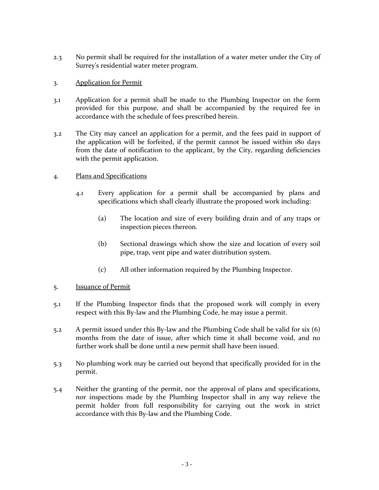2.3 No permit shall be required for the installation of a water meter under the City of Surrey's residential water meter program.

## 3. Application for Permit

- 3.1 Application for a permit shall be made to the Plumbing Inspector on the form provided for this purpose, and shall be accompanied by the required fee in accordance with the schedule of fees prescribed herein.
- 3.2 The City may cancel an application for a permit, and the fees paid in support of the application will be forfeited, if the permit cannot be issued within 180 days from the date of notification to the applicant, by the City, regarding deficiencies with the permit application.

# 4. Plans and Specifications

- 4.1 Every application for a permit shall be accompanied by plans and specifications which shall clearly illustrate the proposed work including:
	- (a) The location and size of every building drain and of any traps or inspection pieces thereon.
	- (b) Sectional drawings which show the size and location of every soil pipe, trap, vent pipe and water distribution system.
	- (c) All other information required by the Plumbing Inspector.

## 5. Issuance of Permit

- 5.1 If the Plumbing Inspector finds that the proposed work will comply in every respect with this By-law and the Plumbing Code, he may issue a permit.
- 5.2 A permit issued under this By-law and the Plumbing Code shall be valid for six (6) months from the date of issue, after which time it shall become void, and no further work shall be done until a new permit shall have been issued.
- 5.3 No plumbing work may be carried out beyond that specifically provided for in the permit.
- 5.4 Neither the granting of the permit, nor the approval of plans and specifications, nor inspections made by the Plumbing Inspector shall in any way relieve the permit holder from full responsibility for carrying out the work in strict accordance with this By-law and the Plumbing Code.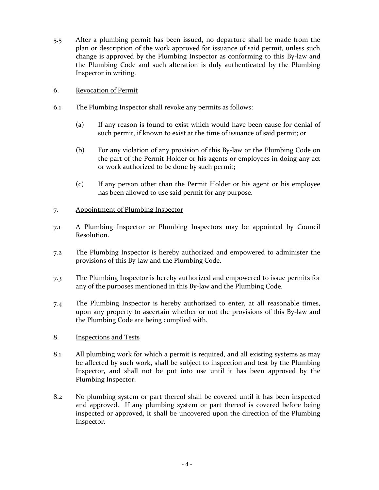- 5.5 After a plumbing permit has been issued, no departure shall be made from the plan or description of the work approved for issuance of said permit, unless such change is approved by the Plumbing Inspector as conforming to this By-law and the Plumbing Code and such alteration is duly authenticated by the Plumbing Inspector in writing.
- 6. Revocation of Permit
- 6.1 The Plumbing Inspector shall revoke any permits as follows:
	- (a) If any reason is found to exist which would have been cause for denial of such permit, if known to exist at the time of issuance of said permit; or
	- (b) For any violation of any provision of this By-law or the Plumbing Code on the part of the Permit Holder or his agents or employees in doing any act or work authorized to be done by such permit;
	- (c) If any person other than the Permit Holder or his agent or his employee has been allowed to use said permit for any purpose.

## 7. Appointment of Plumbing Inspector

- 7.1 A Plumbing Inspector or Plumbing Inspectors may be appointed by Council Resolution.
- 7.2 The Plumbing Inspector is hereby authorized and empowered to administer the provisions of this By-law and the Plumbing Code.
- 7.3 The Plumbing Inspector is hereby authorized and empowered to issue permits for any of the purposes mentioned in this By-law and the Plumbing Code.
- 7.4 The Plumbing Inspector is hereby authorized to enter, at all reasonable times, upon any property to ascertain whether or not the provisions of this By-law and the Plumbing Code are being complied with.
- 8. Inspections and Tests
- 8.1 All plumbing work for which a permit is required, and all existing systems as may be affected by such work, shall be subject to inspection and test by the Plumbing Inspector, and shall not be put into use until it has been approved by the Plumbing Inspector.
- 8.2 No plumbing system or part thereof shall be covered until it has been inspected and approved. If any plumbing system or part thereof is covered before being inspected or approved, it shall be uncovered upon the direction of the Plumbing Inspector.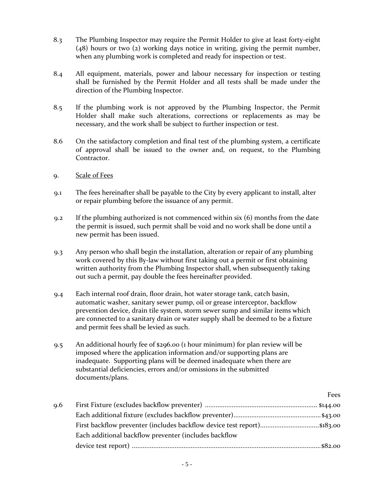- 8.3 The Plumbing Inspector may require the Permit Holder to give at least forty-eight (48) hours or two (2) working days notice in writing, giving the permit number, when any plumbing work is completed and ready for inspection or test.
- 8.4 All equipment, materials, power and labour necessary for inspection or testing shall be furnished by the Permit Holder and all tests shall be made under the direction of the Plumbing Inspector.
- 8.5 If the plumbing work is not approved by the Plumbing Inspector, the Permit Holder shall make such alterations, corrections or replacements as may be necessary, and the work shall be subject to further inspection or test.
- 8.6 On the satisfactory completion and final test of the plumbing system, a certificate of approval shall be issued to the owner and, on request, to the Plumbing Contractor.
- 9. Scale of Fees
- 9.1 The fees hereinafter shall be payable to the City by every applicant to install, alter or repair plumbing before the issuance of any permit.
- 9.2 If the plumbing authorized is not commenced within six (6) months from the date the permit is issued, such permit shall be void and no work shall be done until a new permit has been issued.
- 9.3 Any person who shall begin the installation, alteration or repair of any plumbing work covered by this By-law without first taking out a permit or first obtaining written authority from the Plumbing Inspector shall, when subsequently taking out such a permit, pay double the fees hereinafter provided.
- 9.4 Each internal roof drain, floor drain, hot water storage tank, catch basin, automatic washer, sanitary sewer pump, oil or grease interceptor, backflow prevention device, drain tile system, storm sewer sump and similar items which are connected to a sanitary drain or water supply shall be deemed to be a fixture and permit fees shall be levied as such.
- 9.5 An additional hourly fee of \$296.00 (1 hour minimum) for plan review will be imposed where the application information and/or supporting plans are inadequate. Supporting plans will be deemed inadequate when there are substantial deficiencies, errors and/or omissions in the submitted documents/plans.

|     |                                                       | Fees |
|-----|-------------------------------------------------------|------|
| 9.6 |                                                       |      |
|     |                                                       |      |
|     |                                                       |      |
|     | Each additional backflow preventer (includes backflow |      |
|     |                                                       |      |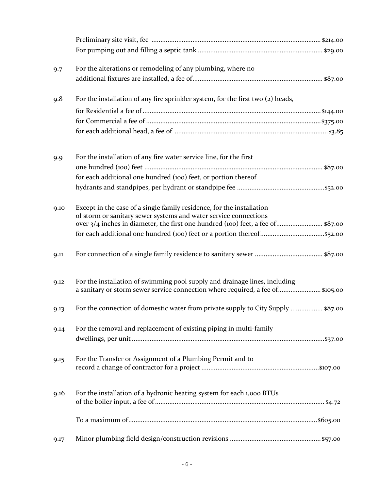| 9.7  | For the alterations or remodeling of any plumbing, where no                                                                                                  |  |
|------|--------------------------------------------------------------------------------------------------------------------------------------------------------------|--|
|      |                                                                                                                                                              |  |
| 9.8  | For the installation of any fire sprinkler system, for the first two (2) heads,                                                                              |  |
|      |                                                                                                                                                              |  |
|      |                                                                                                                                                              |  |
|      |                                                                                                                                                              |  |
| 9.9  | For the installation of any fire water service line, for the first                                                                                           |  |
|      |                                                                                                                                                              |  |
|      | for each additional one hundred (100) feet, or portion thereof                                                                                               |  |
|      |                                                                                                                                                              |  |
| 9.10 | Except in the case of a single family residence, for the installation<br>of storm or sanitary sewer systems and water service connections                    |  |
|      | over 3/4 inches in diameter, the first one hundred (100) feet, a fee of \$87.00                                                                              |  |
|      |                                                                                                                                                              |  |
| 9.11 |                                                                                                                                                              |  |
| 9.12 | For the installation of swimming pool supply and drainage lines, including<br>a sanitary or storm sewer service connection where required, a fee of \$105.00 |  |
| 9.13 | For the connection of domestic water from private supply to City Supply  \$87.00                                                                             |  |
| 9.14 | For the removal and replacement of existing piping in multi-family                                                                                           |  |
| 9.15 | For the Transfer or Assignment of a Plumbing Permit and to                                                                                                   |  |
| 9.16 | For the installation of a hydronic heating system for each 1,000 BTUs                                                                                        |  |
|      |                                                                                                                                                              |  |
| 9.17 |                                                                                                                                                              |  |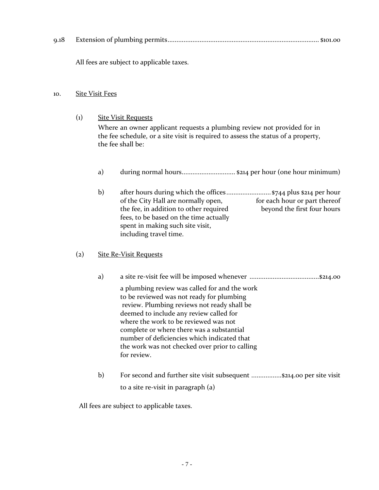| 9.18 |  |  |
|------|--|--|
|------|--|--|

All fees are subject to applicable taxes.

### 10. Site Visit Fees

(1) Site Visit Requests

Where an owner applicant requests a plumbing review not provided for in the fee schedule, or a site visit is required to assess the status of a property, the fee shall be:

- a) during normal hours.............................. \$214 per hour (one hour minimum)
- b) after hours during which the offices ......................... \$744 plus \$214 per hour of the City Hall are normally open, for each hour or part thereof<br>the fee, in addition to other required beyond the first four hours the fee, in addition to other required fees, to be based on the time actually spent in making such site visit, including travel time.

# (2) Site Re-Visit Requests

- a) a site re-visit fee will be imposed whenever .......................................\$214.00 a plumbing review was called for and the work to be reviewed was not ready for plumbing review. Plumbing reviews not ready shall be deemed to include any review called for where the work to be reviewed was not complete or where there was a substantial number of deficiencies which indicated that the work was not checked over prior to calling for review.
- b) For second and further site visit subsequent ..................\$214.00 per site visit to a site re-visit in paragraph (a)

All fees are subject to applicable taxes.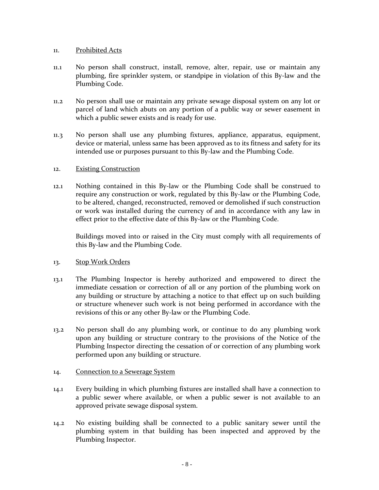### 11. Prohibited Acts

- 11.1 No person shall construct, install, remove, alter, repair, use or maintain any plumbing, fire sprinkler system, or standpipe in violation of this By-law and the Plumbing Code.
- 11.2 No person shall use or maintain any private sewage disposal system on any lot or parcel of land which abuts on any portion of a public way or sewer easement in which a public sewer exists and is ready for use.
- 11.3 No person shall use any plumbing fixtures, appliance, apparatus, equipment, device or material, unless same has been approved as to its fitness and safety for its intended use or purposes pursuant to this By-law and the Plumbing Code.

### 12. Existing Construction

12.1 Nothing contained in this By-law or the Plumbing Code shall be construed to require any construction or work, regulated by this By-law or the Plumbing Code, to be altered, changed, reconstructed, removed or demolished if such construction or work was installed during the currency of and in accordance with any law in effect prior to the effective date of this By-law or the Plumbing Code.

Buildings moved into or raised in the City must comply with all requirements of this By-law and the Plumbing Code.

## 13. Stop Work Orders

- 13.1 The Plumbing Inspector is hereby authorized and empowered to direct the immediate cessation or correction of all or any portion of the plumbing work on any building or structure by attaching a notice to that effect up on such building or structure whenever such work is not being performed in accordance with the revisions of this or any other By-law or the Plumbing Code.
- 13.2 No person shall do any plumbing work, or continue to do any plumbing work upon any building or structure contrary to the provisions of the Notice of the Plumbing Inspector directing the cessation of or correction of any plumbing work performed upon any building or structure.

#### 14. Connection to a Sewerage System

- 14.1 Every building in which plumbing fixtures are installed shall have a connection to a public sewer where available, or when a public sewer is not available to an approved private sewage disposal system.
- 14.2 No existing building shall be connected to a public sanitary sewer until the plumbing system in that building has been inspected and approved by the Plumbing Inspector.